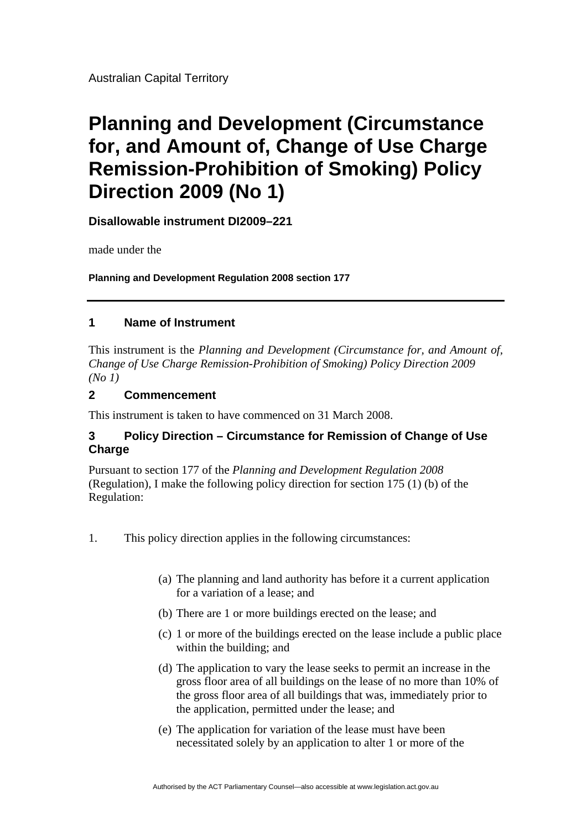Australian Capital Territory

# **Planning and Development (Circumstance for, and Amount of, Change of Use Charge Remission-Prohibition of Smoking) Policy Direction 2009 (No 1)**

**Disallowable instrument DI2009–221**

made under the

**Planning and Development Regulation 2008 section 177** 

# **1 Name of Instrument**

This instrument is the *Planning and Development (Circumstance for, and Amount of, Change of Use Charge Remission-Prohibition of Smoking) Policy Direction 2009 (No 1)* 

## **2 Commencement**

This instrument is taken to have commenced on 31 March 2008.

# **3 Policy Direction – Circumstance for Remission of Change of Use Charge**

Pursuant to section 177 of the *Planning and Development Regulation 2008* (Regulation), I make the following policy direction for section 175 (1) (b) of the Regulation:

- 1. This policy direction applies in the following circumstances:
	- (a) The planning and land authority has before it a current application for a variation of a lease; and
	- (b) There are 1 or more buildings erected on the lease; and
	- (c) 1 or more of the buildings erected on the lease include a public place within the building; and
	- (d) The application to vary the lease seeks to permit an increase in the gross floor area of all buildings on the lease of no more than 10% of the gross floor area of all buildings that was, immediately prior to the application, permitted under the lease; and
	- (e) The application for variation of the lease must have been necessitated solely by an application to alter 1 or more of the